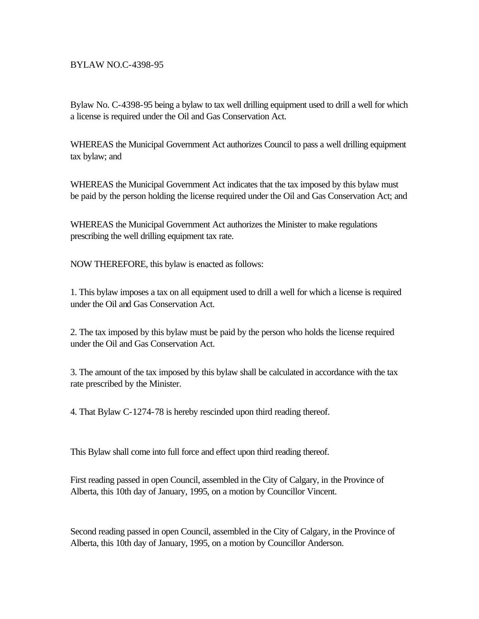## BYLAW NO.C-4398-95

Bylaw No. C-4398-95 being a bylaw to tax well drilling equipment used to drill a well for which a license is required under the Oil and Gas Conservation Act.

WHEREAS the Municipal Government Act authorizes Council to pass a well drilling equipment tax bylaw; and

WHEREAS the Municipal Government Act indicates that the tax imposed by this bylaw must be paid by the person holding the license required under the Oil and Gas Conservation Act; and

WHEREAS the Municipal Government Act authorizes the Minister to make regulations prescribing the well drilling equipment tax rate.

NOW THEREFORE, this bylaw is enacted as follows:

1. This bylaw imposes a tax on all equipment used to drill a well for which a license is required under the Oil and Gas Conservation Act.

2. The tax imposed by this bylaw must be paid by the person who holds the license required under the Oil and Gas Conservation Act.

3. The amount of the tax imposed by this bylaw shall be calculated in accordance with the tax rate prescribed by the Minister.

4. That Bylaw C-1274-78 is hereby rescinded upon third reading thereof.

This Bylaw shall come into full force and effect upon third reading thereof.

First reading passed in open Council, assembled in the City of Calgary, in the Province of Alberta, this 10th day of January, 1995, on a motion by Councillor Vincent.

Second reading passed in open Council, assembled in the City of Calgary, in the Province of Alberta, this 10th day of January, 1995, on a motion by Councillor Anderson.